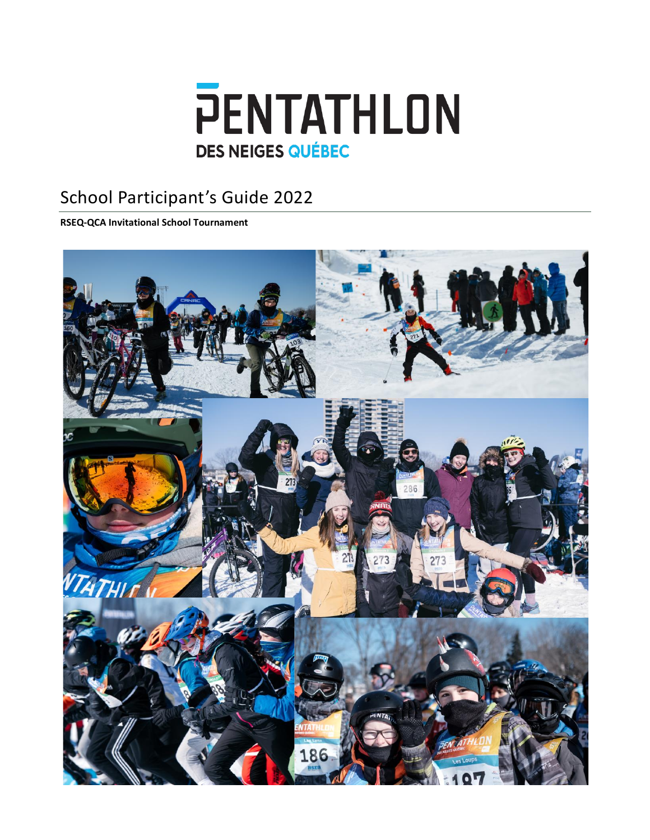

# School Participant's Guide 2022

**RSEQ-QCA Invitational School Tournament**

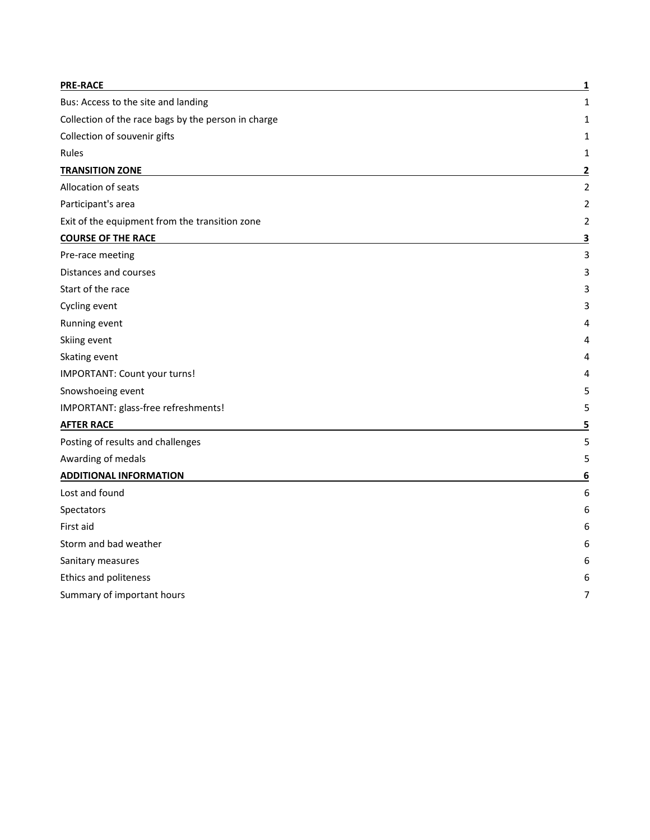| 1<br>1<br>1<br>1<br>2<br>2<br>2<br>2<br>3<br>3<br>3<br>3<br>3<br>4<br>4<br>4<br>5<br>5<br>5<br>5<br>5<br>6<br>6<br>6<br>6<br>6<br>6<br>6<br>7 | <b>PRE-RACE</b>                                     | 1 |
|-----------------------------------------------------------------------------------------------------------------------------------------------|-----------------------------------------------------|---|
|                                                                                                                                               | Bus: Access to the site and landing                 |   |
|                                                                                                                                               | Collection of the race bags by the person in charge |   |
|                                                                                                                                               | Collection of souvenir gifts                        |   |
|                                                                                                                                               | Rules                                               |   |
|                                                                                                                                               | <b>TRANSITION ZONE</b>                              |   |
|                                                                                                                                               | Allocation of seats                                 |   |
|                                                                                                                                               | Participant's area                                  |   |
|                                                                                                                                               | Exit of the equipment from the transition zone      |   |
|                                                                                                                                               | <b>COURSE OF THE RACE</b>                           |   |
|                                                                                                                                               | Pre-race meeting                                    |   |
|                                                                                                                                               | Distances and courses                               |   |
|                                                                                                                                               | Start of the race                                   |   |
|                                                                                                                                               | Cycling event                                       |   |
|                                                                                                                                               | Running event                                       |   |
|                                                                                                                                               | Skiing event                                        |   |
|                                                                                                                                               | Skating event                                       |   |
|                                                                                                                                               | IMPORTANT: Count your turns!                        |   |
|                                                                                                                                               | Snowshoeing event                                   |   |
|                                                                                                                                               | IMPORTANT: glass-free refreshments!                 |   |
|                                                                                                                                               | <b>AFTER RACE</b>                                   |   |
|                                                                                                                                               | Posting of results and challenges                   |   |
|                                                                                                                                               | Awarding of medals                                  |   |
|                                                                                                                                               | <b>ADDITIONAL INFORMATION</b>                       |   |
|                                                                                                                                               | Lost and found                                      |   |
|                                                                                                                                               | Spectators                                          |   |
|                                                                                                                                               | First aid                                           |   |
|                                                                                                                                               | Storm and bad weather                               |   |
|                                                                                                                                               | Sanitary measures                                   |   |
|                                                                                                                                               | Ethics and politeness                               |   |
|                                                                                                                                               | Summary of important hours                          |   |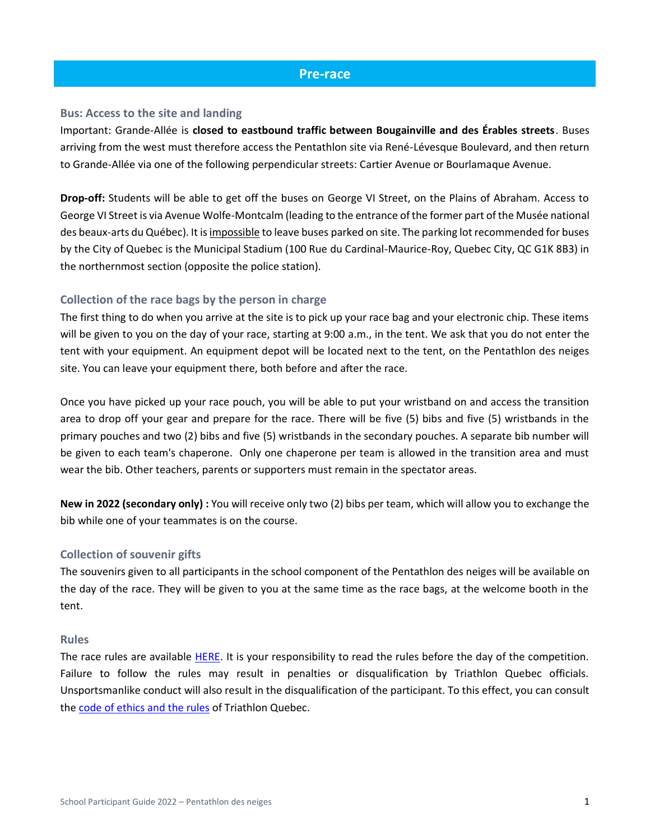# **Pre-race**

#### <span id="page-2-1"></span><span id="page-2-0"></span>**Bus: Access to the site and landing**

Important: Grande-Allée is **closed to eastbound traffic between Bougainville and des Érables streets**. Buses arriving from the west must therefore access the Pentathlon site via René-Lévesque Boulevard, and then return to Grande-Allée via one of the following perpendicular streets: Cartier Avenue or Bourlamaque Avenue.

**Drop-off:** Students will be able to get off the buses on George VI Street, on the Plains of Abraham. Access to George VI Street is via Avenue Wolfe-Montcalm (leading to the entrance of the former part of the Musée national des beaux-arts du Québec). It is impossible to leave buses parked on site. The parking lot recommended for buses by the City of Quebec is the Municipal Stadium (100 Rue du Cardinal-Maurice-Roy, Quebec City, QC G1K 8B3) in the northernmost section (opposite the police station).

# <span id="page-2-2"></span>**Collection of the race bags by the person in charge**

The first thing to do when you arrive at the site is to pick up your race bag and your electronic chip. These items will be given to you on the day of your race, starting at 9:00 a.m., in the tent. We ask that you do not enter the tent with your equipment. An equipment depot will be located next to the tent, on the Pentathlon des neiges site. You can leave your equipment there, both before and after the race.

Once you have picked up your race pouch, you will be able to put your wristband on and access the transition area to drop off your gear and prepare for the race. There will be five (5) bibs and five (5) wristbands in the primary pouches and two (2) bibs and five (5) wristbands in the secondary pouches. A separate bib number will be given to each team's chaperone. Only one chaperone per team is allowed in the transition area and must wear the bib. Other teachers, parents or supporters must remain in the spectator areas.

**New in 2022 (secondary only) :** You will receive only two (2) bibs per team, which will allow you to exchange the bib while one of your teammates is on the course.

# <span id="page-2-3"></span>**Collection of souvenir gifts**

The souvenirs given to all participants in the school component of the Pentathlon des neiges will be available on the day of the race. They will be given to you at the same time as the race bags, at the welcome booth in the tent.

#### <span id="page-2-4"></span>**Rules**

The race rules are available [HERE.](https://www.pentathlondesneiges.com/wp-content/uploads/2021/10/2021-11-26_EN_Re%CC%80glements_PDN-2022.pdf) It is your responsibility to read the rules before the day of the competition. Failure to follow the rules may result in penalties or disqualification by Triathlon Quebec officials. Unsportsmanlike conduct will also result in the disqualification of the participant. To this effect, you can consult the [code of ethics and the rules](https://www.triathlonquebec.org/officiels/reglements/) of Triathlon Quebec.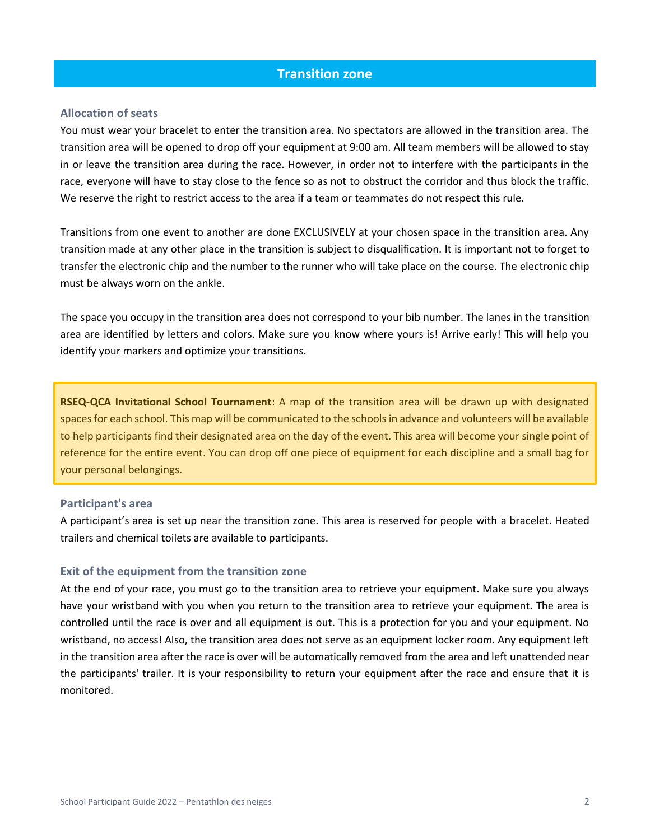# **Transition zone**

### <span id="page-3-1"></span><span id="page-3-0"></span>**Allocation of seats**

You must wear your bracelet to enter the transition area. No spectators are allowed in the transition area. The transition area will be opened to drop off your equipment at 9:00 am. All team members will be allowed to stay in or leave the transition area during the race. However, in order not to interfere with the participants in the race, everyone will have to stay close to the fence so as not to obstruct the corridor and thus block the traffic. We reserve the right to restrict access to the area if a team or teammates do not respect this rule.

Transitions from one event to another are done EXCLUSIVELY at your chosen space in the transition area. Any transition made at any other place in the transition is subject to disqualification. It is important not to forget to transfer the electronic chip and the number to the runner who will take place on the course. The electronic chip must be always worn on the ankle.

The space you occupy in the transition area does not correspond to your bib number. The lanes in the transition area are identified by letters and colors. Make sure you know where yours is! Arrive early! This will help you identify your markers and optimize your transitions.

**RSEQ-QCA Invitational School Tournament**: A map of the transition area will be drawn up with designated spaces for each school. This map will be communicated to the schools in advance and volunteers will be available to help participants find their designated area on the day of the event. This area will become your single point of reference for the entire event. You can drop off one piece of equipment for each discipline and a small bag for your personal belongings.

#### <span id="page-3-2"></span>**Participant's area**

A participant's area is set up near the transition zone. This area is reserved for people with a bracelet. Heated trailers and chemical toilets are available to participants.

#### <span id="page-3-3"></span>**Exit of the equipment from the transition zone**

At the end of your race, you must go to the transition area to retrieve your equipment. Make sure you always have your wristband with you when you return to the transition area to retrieve your equipment. The area is controlled until the race is over and all equipment is out. This is a protection for you and your equipment. No wristband, no access! Also, the transition area does not serve as an equipment locker room. Any equipment left in the transition area after the race is over will be automatically removed from the area and left unattended near the participants' trailer. It is your responsibility to return your equipment after the race and ensure that it is monitored.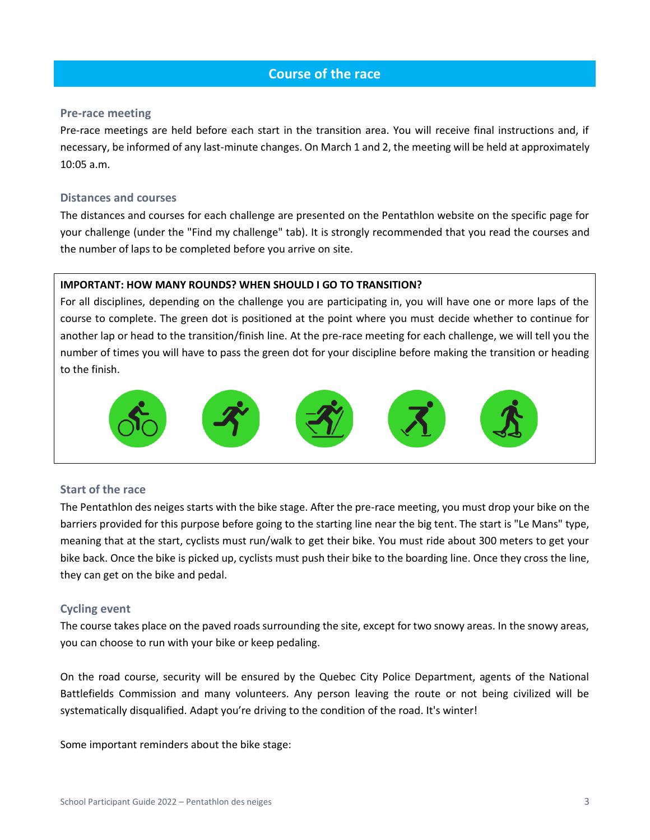# **Course of the race**

#### <span id="page-4-1"></span><span id="page-4-0"></span>**Pre-race meeting**

Pre-race meetings are held before each start in the transition area. You will receive final instructions and, if necessary, be informed of any last-minute changes. On March 1 and 2, the meeting will be held at approximately 10:05 a.m.

### <span id="page-4-2"></span>**Distances and courses**

The distances and courses for each challenge are presented on the Pentathlon website on the specific page for your challenge (under the "Find my challenge" tab). It is strongly recommended that you read the courses and the number of laps to be completed before you arrive on site.

### **IMPORTANT: HOW MANY ROUNDS? WHEN SHOULD I GO TO TRANSITION?**

For all disciplines, depending on the challenge you are participating in, you will have one or more laps of the course to complete. The green dot is positioned at the point where you must decide whether to continue for another lap or head to the transition/finish line. At the pre-race meeting for each challenge, we will tell you the number of times you will have to pass the green dot for your discipline before making the transition or heading to the finish.



# <span id="page-4-3"></span>**Start of the race**

The Pentathlon des neiges starts with the bike stage. After the pre-race meeting, you must drop your bike on the barriers provided for this purpose before going to the starting line near the big tent. The start is "Le Mans" type, meaning that at the start, cyclists must run/walk to get their bike. You must ride about 300 meters to get your bike back. Once the bike is picked up, cyclists must push their bike to the boarding line. Once they cross the line, they can get on the bike and pedal.

# <span id="page-4-4"></span>**Cycling event**

The course takes place on the paved roads surrounding the site, except for two snowy areas. In the snowy areas, you can choose to run with your bike or keep pedaling.

On the road course, security will be ensured by the Quebec City Police Department, agents of the National Battlefields Commission and many volunteers. Any person leaving the route or not being civilized will be systematically disqualified. Adapt you're driving to the condition of the road. It's winter!

Some important reminders about the bike stage: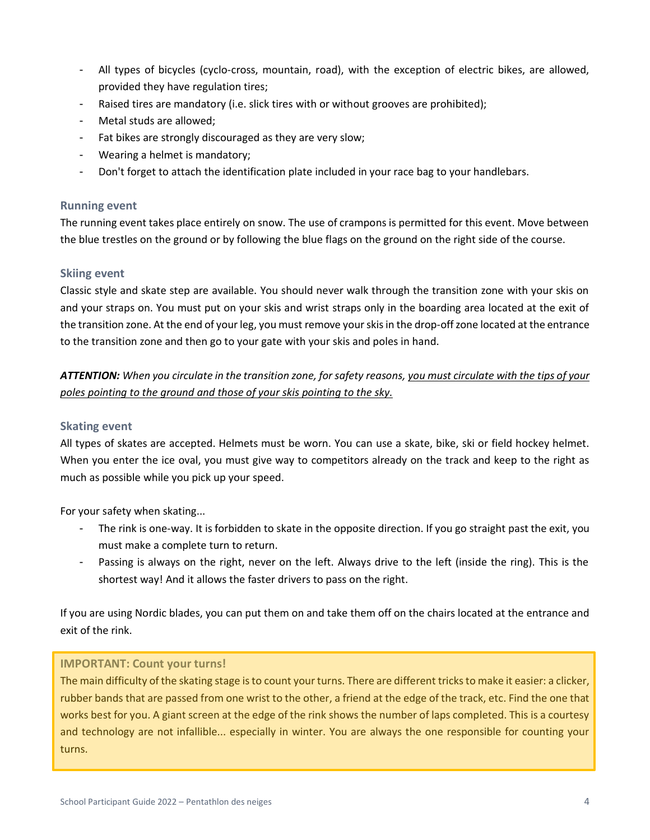- All types of bicycles (cyclo-cross, mountain, road), with the exception of electric bikes, are allowed, provided they have regulation tires;
- Raised tires are mandatory (i.e. slick tires with or without grooves are prohibited);
- Metal studs are allowed;
- Fat bikes are strongly discouraged as they are very slow;
- Wearing a helmet is mandatory;
- Don't forget to attach the identification plate included in your race bag to your handlebars.

### <span id="page-5-0"></span>**Running event**

The running event takes place entirely on snow. The use of crampons is permitted for this event. Move between the blue trestles on the ground or by following the blue flags on the ground on the right side of the course.

# <span id="page-5-1"></span>**Skiing event**

Classic style and skate step are available. You should never walk through the transition zone with your skis on and your straps on. You must put on your skis and wrist straps only in the boarding area located at the exit of the transition zone. At the end of your leg, you must remove your skis in the drop-off zone located at the entrance to the transition zone and then go to your gate with your skis and poles in hand.

*ATTENTION: When you circulate in the transition zone, for safety reasons, you must circulate with the tips of your poles pointing to the ground and those of your skis pointing to the sky.*

#### <span id="page-5-2"></span>**Skating event**

All types of skates are accepted. Helmets must be worn. You can use a skate, bike, ski or field hockey helmet. When you enter the ice oval, you must give way to competitors already on the track and keep to the right as much as possible while you pick up your speed.

For your safety when skating...

- The rink is one-way. It is forbidden to skate in the opposite direction. If you go straight past the exit, you must make a complete turn to return.
- Passing is always on the right, never on the left. Always drive to the left (inside the ring). This is the shortest way! And it allows the faster drivers to pass on the right.

If you are using Nordic blades, you can put them on and take them off on the chairs located at the entrance and exit of the rink.

# <span id="page-5-3"></span>**IMPORTANT: Count your turns!**

The main difficulty of the skating stage is to count your turns. There are different tricks to make it easier: a clicker, rubber bands that are passed from one wrist to the other, a friend at the edge of the track, etc. Find the one that works best for you. A giant screen at the edge of the rink shows the number of laps completed. This is a courtesy and technology are not infallible... especially in winter. You are always the one responsible for counting your turns.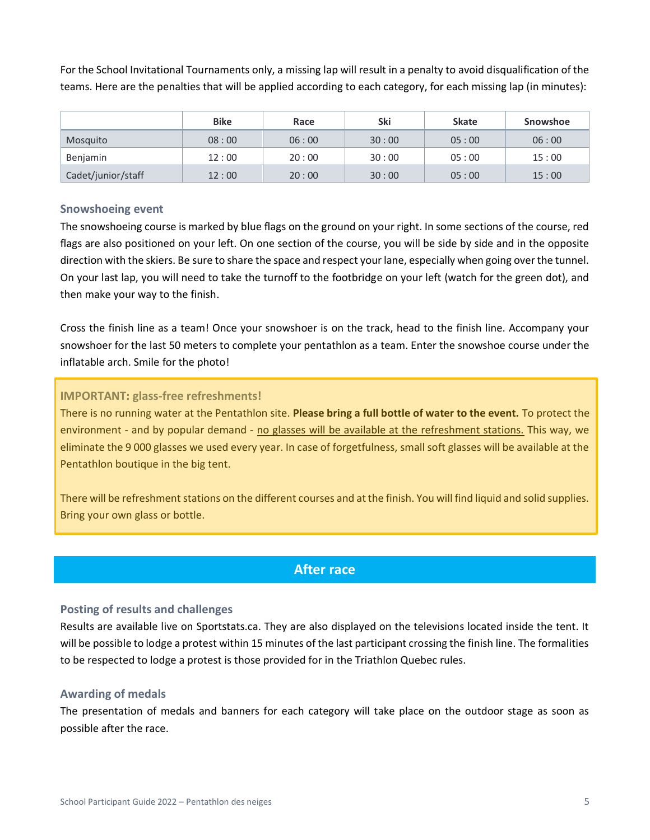For the School Invitational Tournaments only, a missing lap will result in a penalty to avoid disqualification of the teams. Here are the penalties that will be applied according to each category, for each missing lap (in minutes):

|                    | <b>Bike</b> | Race  | Ski   | <b>Skate</b> | Snowshoe |
|--------------------|-------------|-------|-------|--------------|----------|
| Mosquito           | 08:00       | 06:00 | 30:00 | 05:00        | 06:00    |
| Benjamin           | 12:00       | 20:00 | 30:00 | 05:00        | 15:00    |
| Cadet/junior/staff | 12:00       | 20:00 | 30:00 | 05:00        | 15:00    |

# <span id="page-6-0"></span>**Snowshoeing event**

The snowshoeing course is marked by blue flags on the ground on your right. In some sections of the course, red flags are also positioned on your left. On one section of the course, you will be side by side and in the opposite direction with the skiers. Be sure to share the space and respect your lane, especially when going over the tunnel. On your last lap, you will need to take the turnoff to the footbridge on your left (watch for the green dot), and then make your way to the finish.

Cross the finish line as a team! Once your snowshoer is on the track, head to the finish line. Accompany your snowshoer for the last 50 meters to complete your pentathlon as a team. Enter the snowshoe course under the inflatable arch. Smile for the photo!

# <span id="page-6-1"></span>**IMPORTANT: glass-free refreshments!**

There is no running water at the Pentathlon site. **Please bring a full bottle of water to the event.** To protect the environment - and by popular demand - no glasses will be available at the refreshment stations. This way, we eliminate the 9 000 glasses we used every year. In case of forgetfulness, small soft glasses will be available at the Pentathlon boutique in the big tent.

There will be refreshment stations on the different courses and at the finish. You will find liquid and solid supplies. Bring your own glass or bottle.

# **After race**

# <span id="page-6-3"></span><span id="page-6-2"></span>**Posting of results and challenges**

Results are available live on Sportstats.ca. They are also displayed on the televisions located inside the tent. It will be possible to lodge a protest within 15 minutes of the last participant crossing the finish line. The formalities to be respected to lodge a protest is those provided for in the Triathlon Quebec rules.

# <span id="page-6-4"></span>**Awarding of medals**

The presentation of medals and banners for each category will take place on the outdoor stage as soon as possible after the race.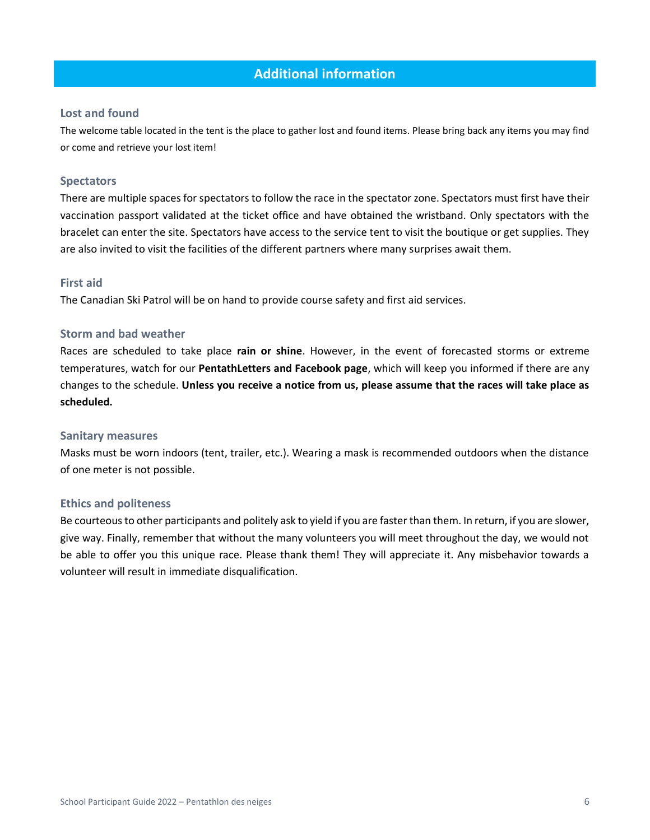# **Additional information**

### <span id="page-7-1"></span><span id="page-7-0"></span>**Lost and found**

The welcome table located in the tent is the place to gather lost and found items. Please bring back any items you may find or come and retrieve your lost item!

#### <span id="page-7-2"></span>**Spectators**

There are multiple spaces for spectators to follow the race in the spectator zone. Spectators must first have their vaccination passport validated at the ticket office and have obtained the wristband. Only spectators with the bracelet can enter the site. Spectators have access to the service tent to visit the boutique or get supplies. They are also invited to visit the facilities of the different partners where many surprises await them.

#### <span id="page-7-3"></span>**First aid**

<span id="page-7-4"></span>The Canadian Ski Patrol will be on hand to provide course safety and first aid services.

### **Storm and bad weather**

Races are scheduled to take place **rain or shine**. However, in the event of forecasted storms or extreme temperatures, watch for our **PentathLetters and Facebook page**, which will keep you informed if there are any changes to the schedule. **Unless you receive a notice from us, please assume that the races will take place as scheduled.**

#### <span id="page-7-5"></span>**Sanitary measures**

Masks must be worn indoors (tent, trailer, etc.). Wearing a mask is recommended outdoors when the distance of one meter is not possible.

#### <span id="page-7-6"></span>**Ethics and politeness**

Be courteous to other participants and politely ask to yield if you are faster than them. In return, if you are slower, give way. Finally, remember that without the many volunteers you will meet throughout the day, we would not be able to offer you this unique race. Please thank them! They will appreciate it. Any misbehavior towards a volunteer will result in immediate disqualification.